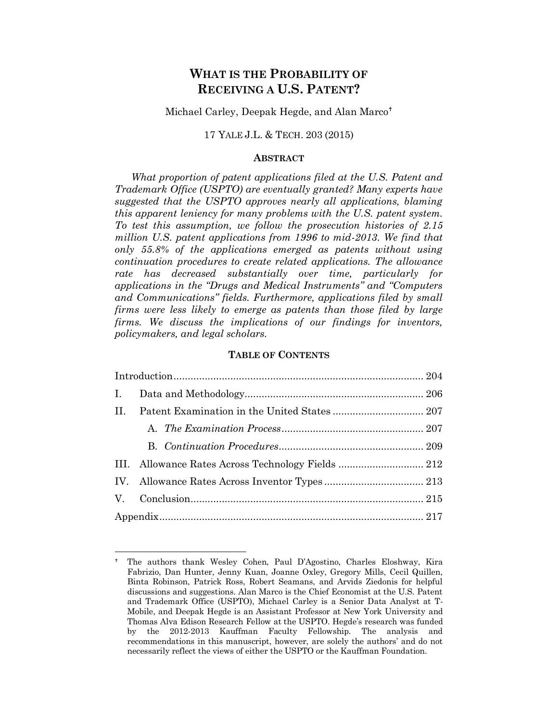# **WHAT IS THE PROBABILITY OF RECEIVING A U.S. PATENT?**

Michael Carley, Deepak Hegde, and Alan Marco

## 17 YALE J.L. & TECH. 203 (2015)

#### **ABSTRACT**

*What proportion of patent applications filed at the U.S. Patent and Trademark Office (USPTO) are eventually granted? Many experts have suggested that the USPTO approves nearly all applications, blaming this apparent leniency for many problems with the U.S. patent system. To test this assumption, we follow the prosecution histories of 2.15 million U.S. patent applications from 1996 to mid-2013. We find that only 55.8% of the applications emerged as patents without using continuation procedures to create related applications. The allowance rate has decreased substantially over time, particularly for applications in the "Drugs and Medical Instruments" and "Computers and Communications" fields. Furthermore, applications filed by small firms were less likely to emerge as patents than those filed by large firms. We discuss the implications of our findings for inventors, policymakers, and legal scholars.*

#### **TABLE OF CONTENTS**

| H. |  |
|----|--|
|    |  |
|    |  |
|    |  |
|    |  |
|    |  |
|    |  |

The authors thank Wesley Cohen, Paul D'Agostino, Charles Eloshway, Kira Fabrizio, Dan Hunter, Jenny Kuan, Joanne Oxley, Gregory Mills, Cecil Quillen, Binta Robinson, Patrick Ross, Robert Seamans, and Arvids Ziedonis for helpful discussions and suggestions. Alan Marco is the Chief Economist at the U.S. Patent and Trademark Office (USPTO), Michael Carley is a Senior Data Analyst at T-Mobile, and Deepak Hegde is an Assistant Professor at New York University and Thomas Alva Edison Research Fellow at the USPTO. Hegde's research was funded by the 2012-2013 Kauffman Faculty Fellowship. The analysis and recommendations in this manuscript, however, are solely the authors' and do not necessarily reflect the views of either the USPTO or the Kauffman Foundation.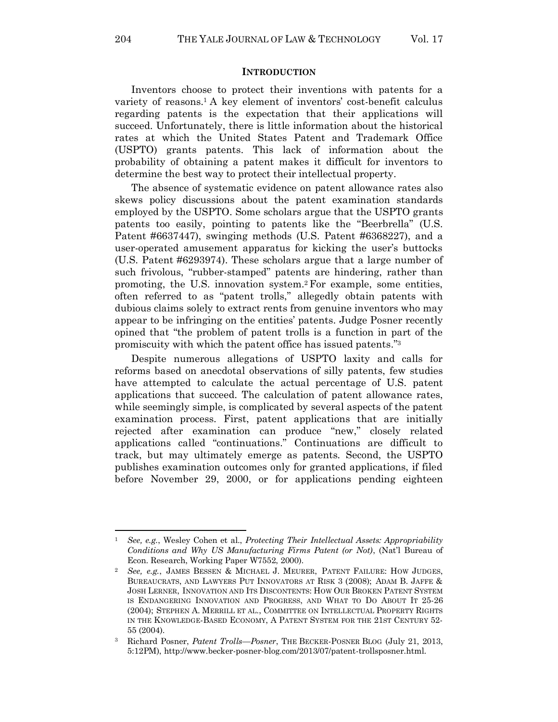#### **INTRODUCTION**

Inventors choose to protect their inventions with patents for a variety of reasons.<sup>1</sup> A key element of inventors' cost-benefit calculus regarding patents is the expectation that their applications will succeed. Unfortunately, there is little information about the historical rates at which the United States Patent and Trademark Office (USPTO) grants patents. This lack of information about the probability of obtaining a patent makes it difficult for inventors to determine the best way to protect their intellectual property.

The absence of systematic evidence on patent allowance rates also skews policy discussions about the patent examination standards employed by the USPTO. Some scholars argue that the USPTO grants patents too easily, pointing to patents like the "Beerbrella" (U.S. Patent #6637447), swinging methods (U.S. Patent #6368227), and a user-operated amusement apparatus for kicking the user's buttocks (U.S. Patent #6293974). These scholars argue that a large number of such frivolous, "rubber-stamped" patents are hindering, rather than promoting, the U.S. innovation system.<sup>2</sup> For example, some entities, often referred to as "patent trolls," allegedly obtain patents with dubious claims solely to extract rents from genuine inventors who may appear to be infringing on the entities' patents. Judge Posner recently opined that "the problem of patent trolls is a function in part of the promiscuity with which the patent office has issued patents."<sup>3</sup>

Despite numerous allegations of USPTO laxity and calls for reforms based on anecdotal observations of silly patents, few studies have attempted to calculate the actual percentage of U.S. patent applications that succeed. The calculation of patent allowance rates, while seemingly simple, is complicated by several aspects of the patent examination process. First, patent applications that are initially rejected after examination can produce "new," closely related applications called "continuations." Continuations are difficult to track, but may ultimately emerge as patents. Second, the USPTO publishes examination outcomes only for granted applications, if filed before November 29, 2000, or for applications pending eighteen

<sup>1</sup> *See, e.g.*, Wesley Cohen et al., *Protecting Their Intellectual Assets: Appropriability Conditions and Why US Manufacturing Firms Patent (or Not)*, (Nat'l Bureau of Econ. Research, Working Paper W7552, 2000).

<sup>2</sup> *See, e.g.*, JAMES BESSEN & MICHAEL J. MEURER, PATENT FAILURE: HOW JUDGES, BUREAUCRATS, AND LAWYERS PUT INNOVATORS AT RISK 3 (2008); ADAM B. JAFFE & JOSH LERNER, INNOVATION AND ITS DISCONTENTS: HOW OUR BROKEN PATENT SYSTEM IS ENDANGERING INNOVATION AND PROGRESS, AND WHAT TO DO ABOUT IT 25-26 (2004); STEPHEN A. MERRILL ET AL., COMMITTEE ON INTELLECTUAL PROPERTY RIGHTS IN THE KNOWLEDGE-BASED ECONOMY, A PATENT SYSTEM FOR THE 21ST CENTURY 52- 55 (2004).

<sup>3</sup> Richard Posner, *Patent Trolls—Posner*, THE BECKER-POSNER BLOG (July 21, 2013, 5:12PM)[, http://www.becker-posner-blog.com/2013/07/patent-trollsposner.html.](http://www.becker-posner-blog.com/2013/07/patent-trollsposner.html)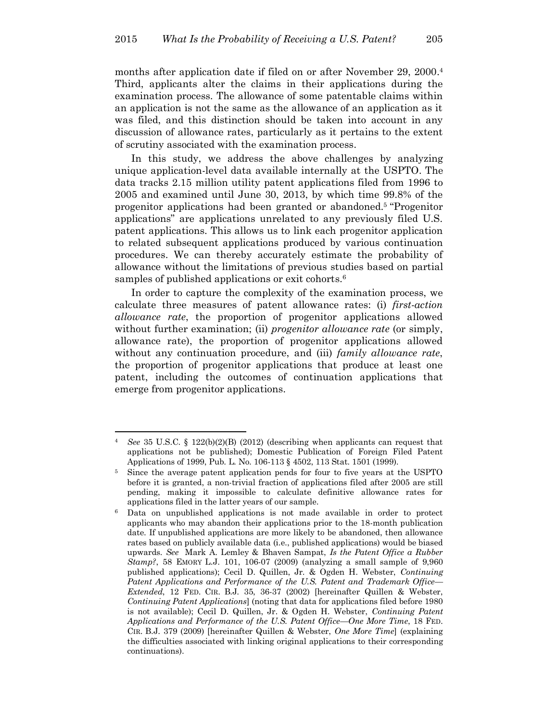months after application date if filed on or after November 29, 2000. 4 Third, applicants alter the claims in their applications during the examination process. The allowance of some patentable claims within an application is not the same as the allowance of an application as it was filed, and this distinction should be taken into account in any discussion of allowance rates, particularly as it pertains to the extent of scrutiny associated with the examination process.

In this study, we address the above challenges by analyzing unique application-level data available internally at the USPTO. The data tracks 2.15 million utility patent applications filed from 1996 to 2005 and examined until June 30, 2013, by which time 99.8% of the progenitor applications had been granted or abandoned. <sup>5</sup> "Progenitor applications" are applications unrelated to any previously filed U.S. patent applications. This allows us to link each progenitor application to related subsequent applications produced by various continuation procedures. We can thereby accurately estimate the probability of allowance without the limitations of previous studies based on partial samples of published applications or exit cohorts.<sup>6</sup>

<span id="page-2-0"></span>In order to capture the complexity of the examination process, we calculate three measures of patent allowance rates: (i) *first-action allowance rate*, the proportion of progenitor applications allowed without further examination; (ii) *progenitor allowance rate* (or simply, allowance rate), the proportion of progenitor applications allowed without any continuation procedure, and (iii) *family allowance rate*, the proportion of progenitor applications that produce at least one patent, including the outcomes of continuation applications that emerge from progenitor applications.

<sup>4</sup> *See* 35 U.S.C. § 122(b)(2)(B) (2012) (describing when applicants can request that applications not be published); Domestic Publication of Foreign Filed Patent Applications of 1999, Pub. L. No. 106-113 § 4502, 113 Stat. 1501 (1999).

<sup>&</sup>lt;sup>5</sup> Since the average patent application pends for four to five years at the USPTO before it is granted, a non-trivial fraction of applications filed after 2005 are still pending, making it impossible to calculate definitive allowance rates for applications filed in the latter years of our sample.

<sup>6</sup> Data on unpublished applications is not made available in order to protect applicants who may abandon their applications prior to the 18-month publication date. If unpublished applications are more likely to be abandoned, then allowance rates based on publicly available data (i.e*.*, published applications) would be biased upwards. *See* Mark A. Lemley & Bhaven Sampat, *Is the Patent Office a Rubber Stamp?*, 58 EMORY L.J. 101, 106-07 (2009) (analyzing a small sample of 9,960 published applications); Cecil D. Quillen, Jr. & Ogden H. Webster, *Continuing Patent Applications and Performance of the U.S. Patent and Trademark Office— Extended*, 12 FED. CIR. B.J. 35, 36-37 (2002) [hereinafter Quillen & Webster, *Continuing Patent Applications*] (noting that data for applications filed before 1980 is not available); Cecil D. Quillen, Jr. & Ogden H. Webster, *Continuing Patent Applications and Performance of the U.S. Patent Office—One More Time*, 18 FED. CIR. B.J. 379 (2009) [hereinafter Quillen & Webster, *One More Time*] (explaining the difficulties associated with linking original applications to their corresponding continuations).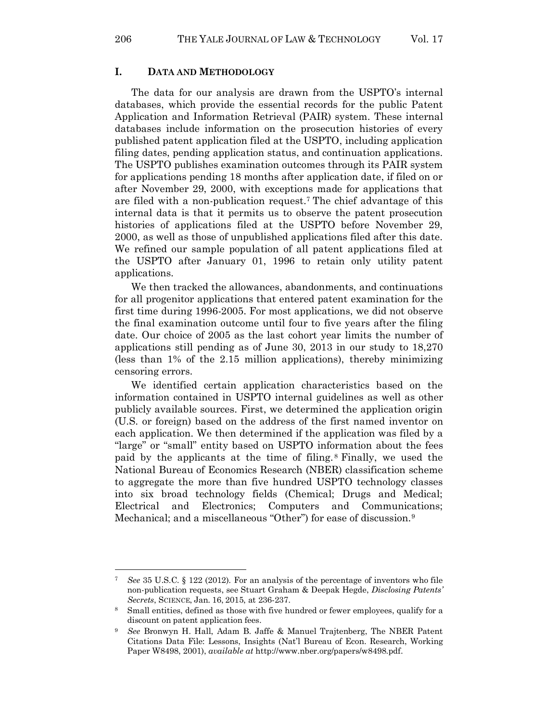#### **I. DATA AND METHODOLOGY**

The data for our analysis are drawn from the USPTO's internal databases, which provide the essential records for the public Patent Application and Information Retrieval (PAIR) system. These internal databases include information on the prosecution histories of every published patent application filed at the USPTO, including application filing dates, pending application status, and continuation applications. The USPTO publishes examination outcomes through its PAIR system for applications pending 18 months after application date, if filed on or after November 29, 2000, with exceptions made for applications that are filed with a non-publication request. <sup>7</sup> The chief advantage of this internal data is that it permits us to observe the patent prosecution histories of applications filed at the USPTO before November 29, 2000, as well as those of unpublished applications filed after this date. We refined our sample population of all patent applications filed at the USPTO after January 01, 1996 to retain only utility patent applications.

We then tracked the allowances, abandonments, and continuations for all progenitor applications that entered patent examination for the first time during 1996-2005. For most applications, we did not observe the final examination outcome until four to five years after the filing date. Our choice of 2005 as the last cohort year limits the number of applications still pending as of June 30, 2013 in our study to 18,270 (less than 1% of the 2.15 million applications), thereby minimizing censoring errors.

We identified certain application characteristics based on the information contained in USPTO internal guidelines as well as other publicly available sources. First, we determined the application origin (U.S. or foreign) based on the address of the first named inventor on each application. We then determined if the application was filed by a "large" or "small" entity based on USPTO information about the fees paid by the applicants at the time of filing. <sup>8</sup> Finally, we used the National Bureau of Economics Research (NBER) classification scheme to aggregate the more than five hundred USPTO technology classes into six broad technology fields (Chemical; Drugs and Medical; Electrical and Electronics; Computers and Communications; Mechanical; and a miscellaneous "Other") for ease of discussion.<sup>9</sup>

<sup>7</sup> *See* 35 U.S.C. § 122 (2012). For an analysis of the percentage of inventors who file non-publication requests, see Stuart Graham & Deepak Hegde, *Disclosing Patents' Secrets*, SCIENCE, Jan. 16, 2015, at 236-237.

<sup>&</sup>lt;sup>8</sup> Small entities, defined as those with five hundred or fewer employees, qualify for a discount on patent application fees.

<sup>9</sup> *See* Bronwyn H. Hall, Adam B. Jaffe & Manuel Trajtenberg, The NBER Patent Citations Data File: Lessons, Insights (Nat'l Bureau of Econ. Research, Working Paper W8498, 2001), *available at* [http://www.nber.org/papers/w8498.pdf.](http://www.nber.org/papers/w8498.pdf)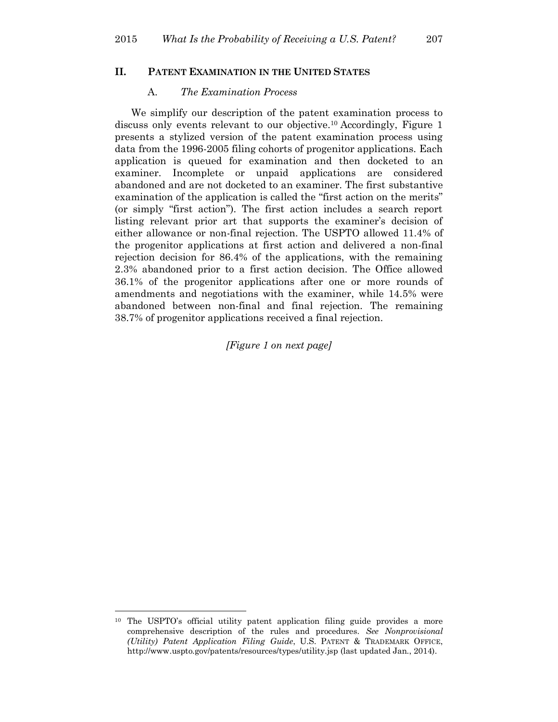#### **II. PATENT EXAMINATION IN THE UNITED STATES**

#### A. *The Examination Process*

We simplify our description of the patent examination process to discuss only events relevant to our objective.<sup>10</sup> Accordingly, Figure 1 presents a stylized version of the patent examination process using data from the 1996-2005 filing cohorts of progenitor applications. Each application is queued for examination and then docketed to an examiner. Incomplete or unpaid applications are considered abandoned and are not docketed to an examiner. The first substantive examination of the application is called the "first action on the merits" (or simply "first action"). The first action includes a search report listing relevant prior art that supports the examiner's decision of either allowance or non-final rejection. The USPTO allowed 11.4% of the progenitor applications at first action and delivered a non-final rejection decision for 86.4% of the applications, with the remaining 2.3% abandoned prior to a first action decision. The Office allowed 36.1% of the progenitor applications after one or more rounds of amendments and negotiations with the examiner, while 14.5% were abandoned between non-final and final rejection. The remaining 38.7% of progenitor applications received a final rejection.

*[Figure 1 on next page]*

<sup>&</sup>lt;sup>10</sup> The USPTO's official utility patent application filing guide provides a more comprehensive description of the rules and procedures. *See Nonprovisional (Utility) Patent Application Filing Guide*, U.S. PATENT & TRADEMARK OFFICE, <http://www.uspto.gov/patents/resources/types/utility.jsp> (last updated Jan., 2014).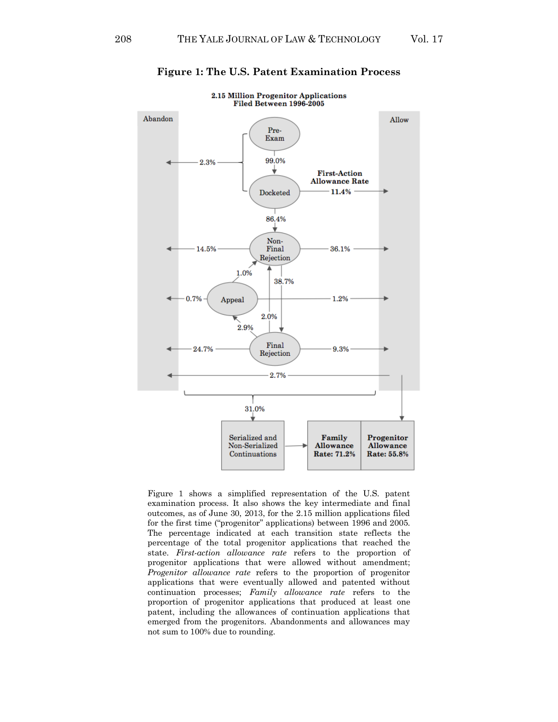

**Figure 1: The U.S. Patent Examination Process**

Figure 1 shows a simplified representation of the U.S. patent examination process. It also shows the key intermediate and final outcomes, as of June 30, 2013, for the 2.15 million applications filed for the first time ("progenitor" applications) between 1996 and 2005. The percentage indicated at each transition state reflects the percentage of the total progenitor applications that reached the state. *First-action allowance rate* refers to the proportion of progenitor applications that were allowed without amendment; *Progenitor allowance rate* refers to the proportion of progenitor applications that were eventually allowed and patented without continuation processes; *Family allowance rate* refers to the proportion of progenitor applications that produced at least one patent, including the allowances of continuation applications that emerged from the progenitors. Abandonments and allowances may not sum to 100% due to rounding.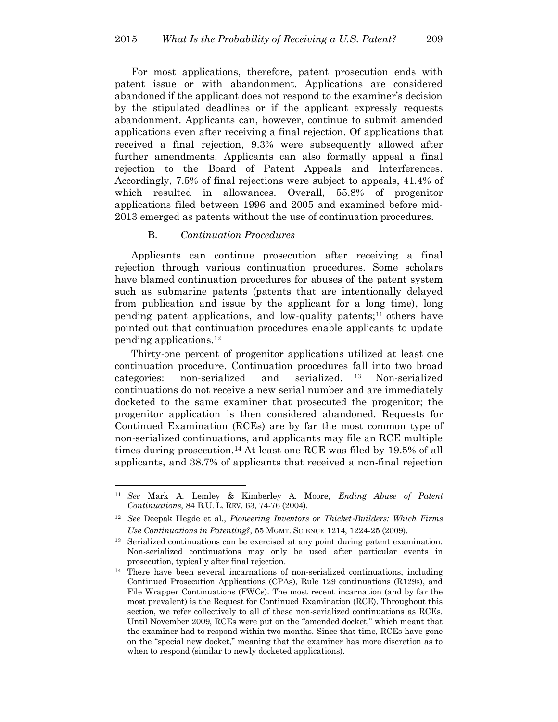For most applications, therefore, patent prosecution ends with patent issue or with abandonment. Applications are considered abandoned if the applicant does not respond to the examiner's decision by the stipulated deadlines or if the applicant expressly requests abandonment. Applicants can, however, continue to submit amended applications even after receiving a final rejection. Of applications that received a final rejection, 9.3% were subsequently allowed after further amendments. Applicants can also formally appeal a final rejection to the Board of Patent Appeals and Interferences. Accordingly, 7.5% of final rejections were subject to appeals, 41.4% of which resulted in allowances. Overall, 55.8% of progenitor applications filed between 1996 and 2005 and examined before mid-2013 emerged as patents without the use of continuation procedures.

#### B. *Continuation Procedures*

 $\overline{a}$ 

Applicants can continue prosecution after receiving a final rejection through various continuation procedures. Some scholars have blamed continuation procedures for abuses of the patent system such as submarine patents (patents that are intentionally delayed from publication and issue by the applicant for a long time), long pending patent applications, and low-quality patents; <sup>11</sup> others have pointed out that continuation procedures enable applicants to update pending applications.<sup>12</sup>

Thirty-one percent of progenitor applications utilized at least one continuation procedure. Continuation procedures fall into two broad categories: non-serialized and serialized. <sup>13</sup> Non-serialized continuations do not receive a new serial number and are immediately docketed to the same examiner that prosecuted the progenitor; the progenitor application is then considered abandoned. Requests for Continued Examination (RCEs) are by far the most common type of non-serialized continuations, and applicants may file an RCE multiple times during prosecution.<sup>14</sup> At least one RCE was filed by 19.5% of all applicants, and 38.7% of applicants that received a non-final rejection

<sup>11</sup> *See* Mark A. Lemley & Kimberley A. Moore, *Ending Abuse of Patent Continuations*, 84 B.U. L. REV. 63, 74-76 (2004).

<sup>12</sup> *See* Deepak Hegde et al., *Pioneering Inventors or Thicket*‐*Builders: Which Firms Use Continuations in Patenting?*, 55 MGMT. SCIENCE 1214, 1224-25 (2009).

<sup>&</sup>lt;sup>13</sup> Serialized continuations can be exercised at any point during patent examination. Non-serialized continuations may only be used after particular events in prosecution, typically after final rejection.

<sup>&</sup>lt;sup>14</sup> There have been several incarnations of non-serialized continuations, including Continued Prosecution Applications (CPAs), Rule 129 continuations (R129s), and File Wrapper Continuations (FWCs). The most recent incarnation (and by far the most prevalent) is the Request for Continued Examination (RCE). Throughout this section, we refer collectively to all of these non-serialized continuations as RCEs. Until November 2009, RCEs were put on the "amended docket," which meant that the examiner had to respond within two months. Since that time, RCEs have gone on the "special new docket," meaning that the examiner has more discretion as to when to respond (similar to newly docketed applications).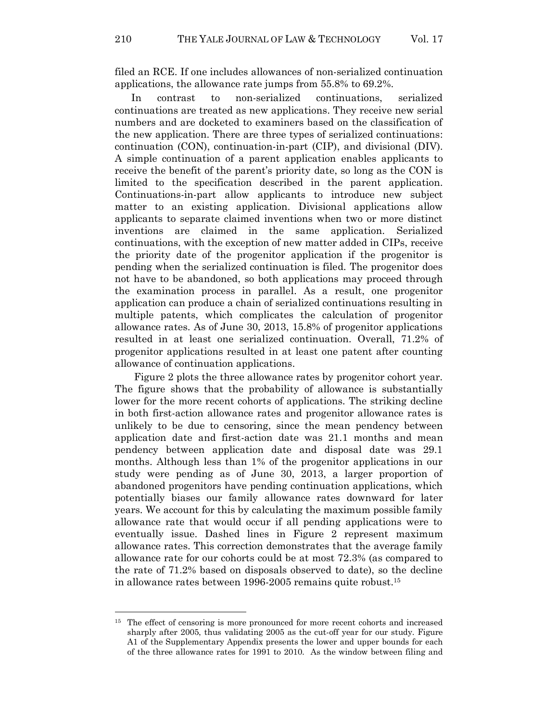filed an RCE. If one includes allowances of non-serialized continuation applications, the allowance rate jumps from 55.8% to 69.2%.

In contrast to non-serialized continuations, serialized continuations are treated as new applications. They receive new serial numbers and are docketed to examiners based on the classification of the new application. There are three types of serialized continuations: continuation (CON), continuation-in-part (CIP), and divisional (DIV). A simple continuation of a parent application enables applicants to receive the benefit of the parent's priority date, so long as the CON is limited to the specification described in the parent application. Continuations-in-part allow applicants to introduce new subject matter to an existing application. Divisional applications allow applicants to separate claimed inventions when two or more distinct inventions are claimed in the same application. Serialized continuations, with the exception of new matter added in CIPs, receive the priority date of the progenitor application if the progenitor is pending when the serialized continuation is filed. The progenitor does not have to be abandoned, so both applications may proceed through the examination process in parallel. As a result, one progenitor application can produce a chain of serialized continuations resulting in multiple patents, which complicates the calculation of progenitor allowance rates. As of June 30, 2013, 15.8% of progenitor applications resulted in at least one serialized continuation. Overall, 71.2% of progenitor applications resulted in at least one patent after counting allowance of continuation applications.

Figure 2 plots the three allowance rates by progenitor cohort year. The figure shows that the probability of allowance is substantially lower for the more recent cohorts of applications. The striking decline in both first-action allowance rates and progenitor allowance rates is unlikely to be due to censoring, since the mean pendency between application date and first-action date was 21.1 months and mean pendency between application date and disposal date was 29.1 months. Although less than 1% of the progenitor applications in our study were pending as of June 30, 2013, a larger proportion of abandoned progenitors have pending continuation applications, which potentially biases our family allowance rates downward for later years. We account for this by calculating the maximum possible family allowance rate that would occur if all pending applications were to eventually issue. Dashed lines in Figure 2 represent maximum allowance rates. This correction demonstrates that the average family allowance rate for our cohorts could be at most 72.3% (as compared to the rate of 71.2% based on disposals observed to date), so the decline in allowance rates between 1996-2005 remains quite robust.<sup>15</sup>

<sup>&</sup>lt;sup>15</sup> The effect of censoring is more pronounced for more recent cohorts and increased sharply after 2005, thus validating 2005 as the cut-off year for our study. Figure A1 of the Supplementary Appendix presents the lower and upper bounds for each of the three allowance rates for 1991 to 2010. As the window between filing and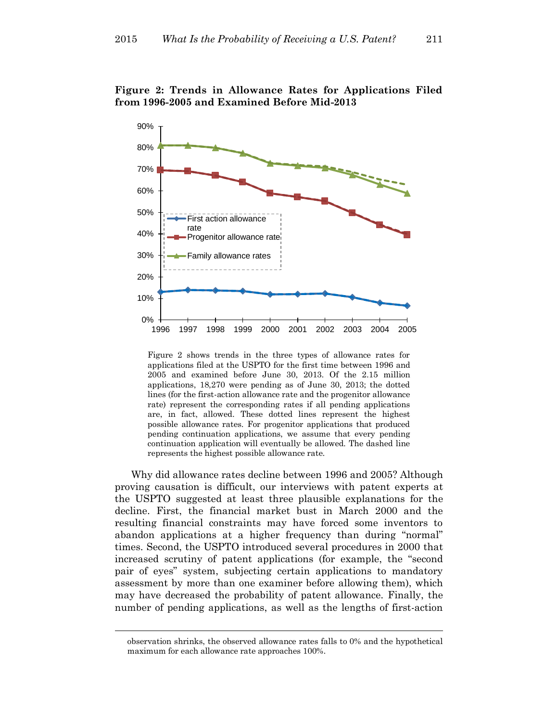

**Figure 2: Trends in Allowance Rates for Applications Filed from 1996-2005 and Examined Before Mid-2013**

Figure 2 shows trends in the three types of allowance rates for applications filed at the USPTO for the first time between 1996 and 2005 and examined before June 30, 2013. Of the 2.15 million applications, 18,270 were pending as of June 30, 2013; the dotted lines (for the first-action allowance rate and the progenitor allowance rate) represent the corresponding rates if all pending applications are, in fact, allowed. These dotted lines represent the highest possible allowance rates. For progenitor applications that produced pending continuation applications, we assume that every pending continuation application will eventually be allowed. The dashed line represents the highest possible allowance rate.

Why did allowance rates decline between 1996 and 2005? Although proving causation is difficult, our interviews with patent experts at the USPTO suggested at least three plausible explanations for the decline. First, the financial market bust in March 2000 and the resulting financial constraints may have forced some inventors to abandon applications at a higher frequency than during "normal" times. Second, the USPTO introduced several procedures in 2000 that increased scrutiny of patent applications (for example, the "second pair of eyes" system, subjecting certain applications to mandatory assessment by more than one examiner before allowing them), which may have decreased the probability of patent allowance. Finally, the number of pending applications, as well as the lengths of first-action

observation shrinks, the observed allowance rates falls to 0% and the hypothetical maximum for each allowance rate approaches 100%.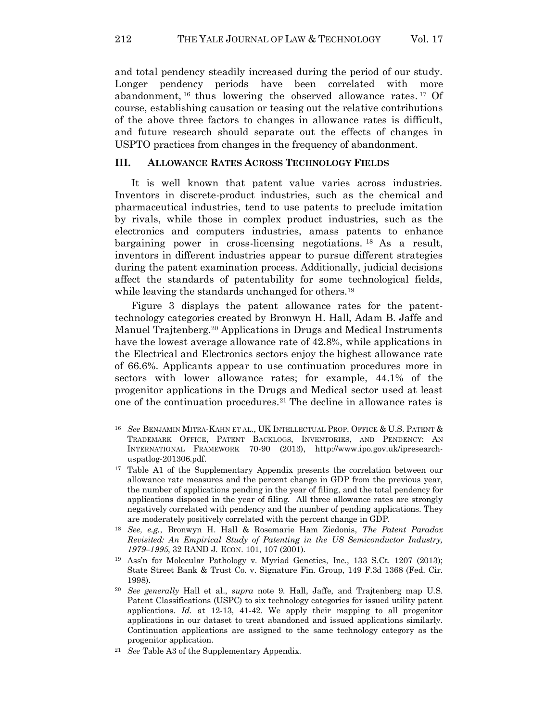and total pendency steadily increased during the period of our study. Longer pendency periods have been correlated with more abandonment, <sup>16</sup> thus lowering the observed allowance rates. <sup>17</sup> Of course, establishing causation or teasing out the relative contributions of the above three factors to changes in allowance rates is difficult, and future research should separate out the effects of changes in USPTO practices from changes in the frequency of abandonment.

### **III. ALLOWANCE RATES ACROSS TECHNOLOGY FIELDS**

It is well known that patent value varies across industries. Inventors in discrete-product industries, such as the chemical and pharmaceutical industries, tend to use patents to preclude imitation by rivals, while those in complex product industries, such as the electronics and computers industries, amass patents to enhance bargaining power in cross-licensing negotiations. <sup>18</sup> As a result, inventors in different industries appear to pursue different strategies during the patent examination process. Additionally, judicial decisions affect the standards of patentability for some technological fields, while leaving the standards unchanged for others.<sup>19</sup>

Figure 3 displays the patent allowance rates for the patenttechnology categories created by Bronwyn H. Hall, Adam B. Jaffe and Manuel Trajtenberg.<sup>20</sup> Applications in Drugs and Medical Instruments have the lowest average allowance rate of 42.8%, while applications in the Electrical and Electronics sectors enjoy the highest allowance rate of 66.6%. Applicants appear to use continuation procedures more in sectors with lower allowance rates; for example, 44.1% of the progenitor applications in the Drugs and Medical sector used at least one of the continuation procedures.<sup>21</sup> The decline in allowance rates is

<sup>16</sup> *See* BENJAMIN MITRA-KAHN ET AL., UK INTELLECTUAL PROP. OFFICE & U.S. PATENT & TRADEMARK OFFICE, PATENT BACKLOGS, INVENTORIES, AND PENDENCY: AN INTERNATIONAL FRAMEWORK 70-90 (2013), [http://www.ipo.gov.uk/ipresearch](http://www.ipo.gov.uk/ipresearch-uspatlog-201306.pdf)[uspatlog-201306.pdf.](http://www.ipo.gov.uk/ipresearch-uspatlog-201306.pdf)

<sup>&</sup>lt;sup>17</sup> Table A1 of the Supplementary Appendix presents the correlation between our allowance rate measures and the percent change in GDP from the previous year, the number of applications pending in the year of filing, and the total pendency for applications disposed in the year of filing. All three allowance rates are strongly negatively correlated with pendency and the number of pending applications. They are moderately positively correlated with the percent change in GDP.

<sup>18</sup> *See, e.g.*, Bronwyn H. Hall & Rosemarie Ham Ziedonis, *The Patent Paradox Revisited: An Empirical Study of Patenting in the US Semiconductor Industry, 1979–1995*, 32 RAND J. ECON. 101, 107 (2001).

<sup>19</sup> Ass'n for Molecular Pathology v. Myriad Genetics, Inc., 133 S.Ct. 1207 (2013); State Street Bank & Trust Co. v. Signature Fin. Group, 149 F.3d 1368 (Fed. Cir. 1998).

<sup>20</sup> *See generally* Hall et al., *supra* note 9. Hall, Jaffe, and Trajtenberg map U.S. Patent Classifications (USPC) to six technology categories for issued utility patent applications. *Id.* at 12-13, 41-42. We apply their mapping to all progenitor applications in our dataset to treat abandoned and issued applications similarly. Continuation applications are assigned to the same technology category as the progenitor application.

<sup>21</sup> *See* Table A3 of the Supplementary Appendix.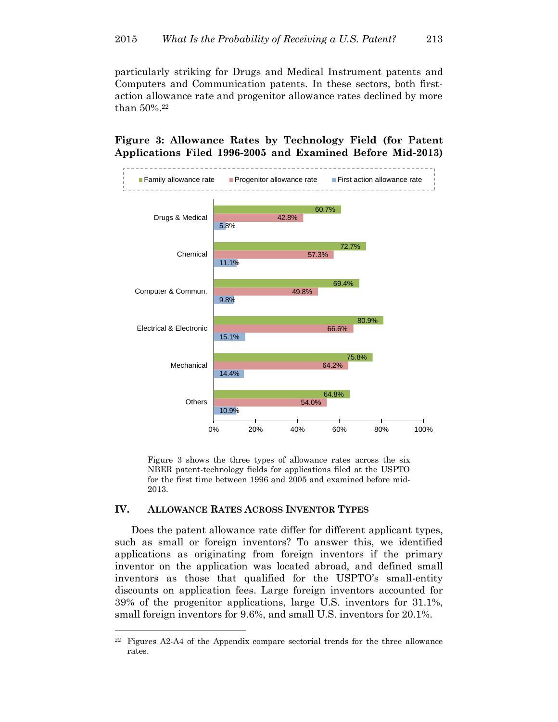particularly striking for Drugs and Medical Instrument patents and Computers and Communication patents. In these sectors, both firstaction allowance rate and progenitor allowance rates declined by more than 50%.<sup>22</sup>

## **Figure 3: Allowance Rates by Technology Field (for Patent Applications Filed 1996-2005 and Examined Before Mid-2013)**



Figure 3 shows the three types of allowance rates across the six NBER patent-technology fields for applications filed at the USPTO for the first time between 1996 and 2005 and examined before mid-2013.

### **IV. ALLOWANCE RATES ACROSS INVENTOR TYPES**

 $\overline{a}$ 

Does the patent allowance rate differ for different applicant types, such as small or foreign inventors? To answer this, we identified applications as originating from foreign inventors if the primary inventor on the application was located abroad, and defined small inventors as those that qualified for the USPTO's small-entity discounts on application fees. Large foreign inventors accounted for 39% of the progenitor applications, large U.S. inventors for 31.1%, small foreign inventors for 9.6%, and small U.S. inventors for 20.1%.

<sup>22</sup> Figures A2-A4 of the Appendix compare sectorial trends for the three allowance rates.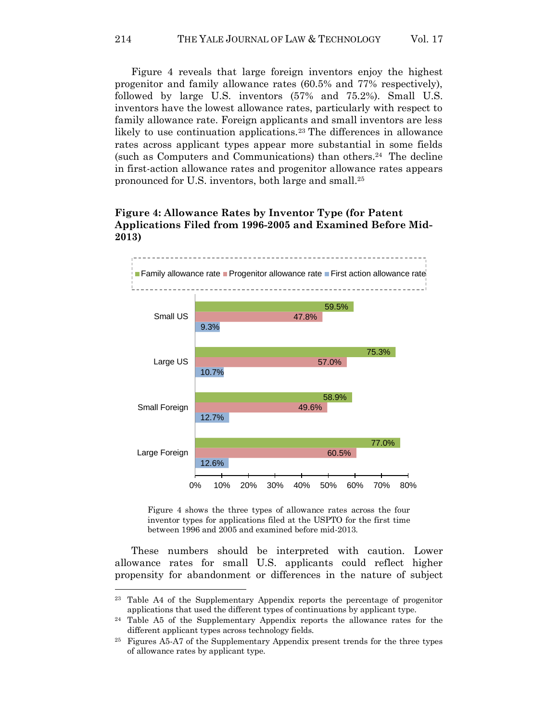214 THE YALE JOURNAL OF LAW & TECHNOLOGY Vol. 17

Figure 4 reveals that large foreign inventors enjoy the highest progenitor and family allowance rates (60.5% and 77% respectively), followed by large U.S. inventors (57% and 75.2%). Small U.S. inventors have the lowest allowance rates, particularly with respect to family allowance rate. Foreign applicants and small inventors are less likely to use continuation applications.<sup>23</sup> The differences in allowance rates across applicant types appear more substantial in some fields (such as Computers and Communications) than others.<sup>24</sup> The decline in first-action allowance rates and progenitor allowance rates appears pronounced for U.S. inventors, both large and small. 25

## **Figure 4: Allowance Rates by Inventor Type (for Patent Applications Filed from 1996-2005 and Examined Before Mid-2013)**



Figure 4 shows the three types of allowance rates across the four inventor types for applications filed at the USPTO for the first time between 1996 and 2005 and examined before mid-2013.

These numbers should be interpreted with caution. Lower allowance rates for small U.S. applicants could reflect higher propensity for abandonment or differences in the nature of subject

<sup>23</sup> Table A4 of the Supplementary Appendix reports the percentage of progenitor applications that used the different types of continuations by applicant type.

<sup>24</sup> Table A5 of the Supplementary Appendix reports the allowance rates for the different applicant types across technology fields.

<sup>25</sup> Figures A5-A7 of the Supplementary Appendix present trends for the three types of allowance rates by applicant type.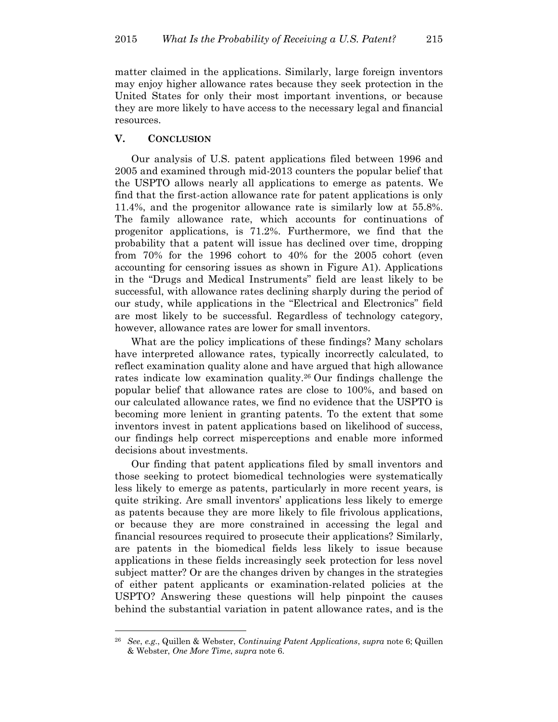matter claimed in the applications. Similarly, large foreign inventors may enjoy higher allowance rates because they seek protection in the United States for only their most important inventions, or because they are more likely to have access to the necessary legal and financial resources.

### **V. CONCLUSION**

 $\overline{a}$ 

Our analysis of U.S. patent applications filed between 1996 and 2005 and examined through mid-2013 counters the popular belief that the USPTO allows nearly all applications to emerge as patents. We find that the first-action allowance rate for patent applications is only 11.4%, and the progenitor allowance rate is similarly low at 55.8%. The family allowance rate, which accounts for continuations of progenitor applications, is 71.2%. Furthermore, we find that the probability that a patent will issue has declined over time, dropping from 70% for the 1996 cohort to 40% for the 2005 cohort (even accounting for censoring issues as shown in Figure A1). Applications in the "Drugs and Medical Instruments" field are least likely to be successful, with allowance rates declining sharply during the period of our study, while applications in the "Electrical and Electronics" field are most likely to be successful. Regardless of technology category, however, allowance rates are lower for small inventors.

What are the policy implications of these findings? Many scholars have interpreted allowance rates, typically incorrectly calculated, to reflect examination quality alone and have argued that high allowance rates indicate low examination quality.<sup>26</sup> Our findings challenge the popular belief that allowance rates are close to 100%, and based on our calculated allowance rates, we find no evidence that the USPTO is becoming more lenient in granting patents. To the extent that some inventors invest in patent applications based on likelihood of success, our findings help correct misperceptions and enable more informed decisions about investments.

Our finding that patent applications filed by small inventors and those seeking to protect biomedical technologies were systematically less likely to emerge as patents, particularly in more recent years, is quite striking. Are small inventors' applications less likely to emerge as patents because they are more likely to file frivolous applications, or because they are more constrained in accessing the legal and financial resources required to prosecute their applications? Similarly, are patents in the biomedical fields less likely to issue because applications in these fields increasingly seek protection for less novel subject matter? Or are the changes driven by changes in the strategies of either patent applicants or examination-related policies at the USPTO? Answering these questions will help pinpoint the causes behind the substantial variation in patent allowance rates, and is the

<sup>26</sup> *See*, *e.g.*, Quillen & Webster, *Continuing Patent Applications*, *supra* note [6;](#page-2-0) Quillen & Webster, *One More Time*, *supra* not[e 6.](#page-2-0)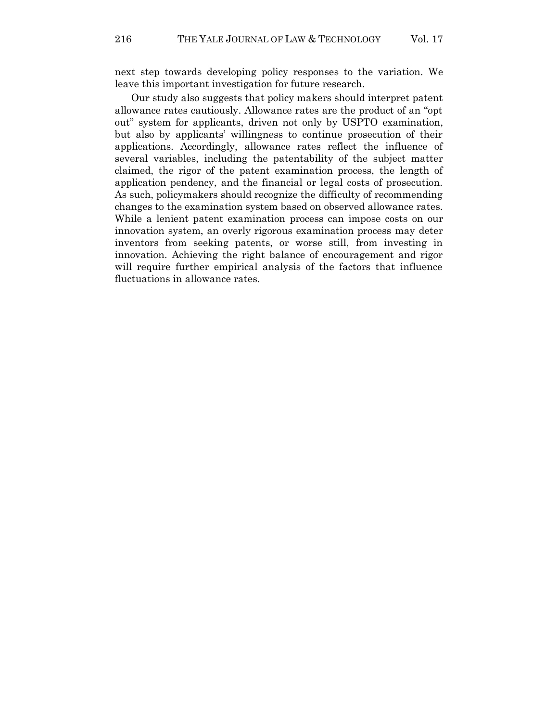next step towards developing policy responses to the variation. We leave this important investigation for future research.

Our study also suggests that policy makers should interpret patent allowance rates cautiously. Allowance rates are the product of an "opt out" system for applicants, driven not only by USPTO examination, but also by applicants' willingness to continue prosecution of their applications. Accordingly, allowance rates reflect the influence of several variables, including the patentability of the subject matter claimed, the rigor of the patent examination process, the length of application pendency, and the financial or legal costs of prosecution. As such, policymakers should recognize the difficulty of recommending changes to the examination system based on observed allowance rates. While a lenient patent examination process can impose costs on our innovation system, an overly rigorous examination process may deter inventors from seeking patents, or worse still, from investing in innovation. Achieving the right balance of encouragement and rigor will require further empirical analysis of the factors that influence fluctuations in allowance rates.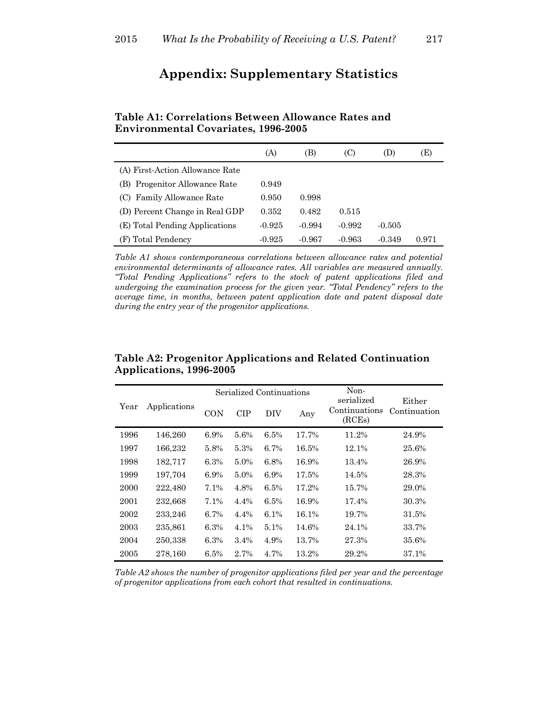# **Appendix: Supplementary Statistics**

|                                  | (A)      | (B)      | (C)      | (D)      | (E)   |
|----------------------------------|----------|----------|----------|----------|-------|
| (A) First-Action Allowance Rate  |          |          |          |          |       |
| Progenitor Allowance Rate<br>(B) | 0.949    |          |          |          |       |
| Family Allowance Rate            | 0.950    | 0.998    |          |          |       |
| (D) Percent Change in Real GDP   | 0.352    | 0.482    | 0.515    |          |       |
| (E) Total Pending Applications   | $-0.925$ | $-0.994$ | $-0.992$ | $-0.505$ |       |
| (F) Total Pendency               | $-0.925$ | $-0.967$ | $-0.963$ | $-0.349$ | 0.971 |

## **Table A1: Correlations Between Allowance Rates and Environmental Covariates, 1996-2005**

*Table A1 shows contemporaneous correlations between allowance rates and potential environmental determinants of allowance rates. All variables are measured annually. "Total Pending Applications" refers to the stock of patent applications filed and undergoing the examination process for the given year. "Total Pendency" refers to the average time, in months, between patent application date and patent disposal date during the entry year of the progenitor applications.* 

| Year | Applications | Serialized Continuations |            |         |       | Non-<br>serialized      | Either       |
|------|--------------|--------------------------|------------|---------|-------|-------------------------|--------------|
|      |              | CON                      | <b>CIP</b> | DIV     | Any   | Continuations<br>(RCEs) | Continuation |
| 1996 | 146,260      | 6.9%                     | 5.6%       | 6.5%    | 17.7% | 11.2%                   | 24.9%        |
| 1997 | 166,232      | 5.8%                     | 5.3%       | 6.7%    | 16.5% | 12.1%                   | 25.6%        |
| 1998 | 182,717      | 6.3%                     | $5.0\%$    | 6.8%    | 16.9% | 13.4%                   | 26.9%        |
| 1999 | 197,704      | 6.9%                     | $5.0\%$    | 6.9%    | 17.5% | 14.5%                   | 28.3%        |
| 2000 | 222,480      | 7.1%                     | 4.8%       | 6.5%    | 17.2% | 15.7%                   | 29.0%        |
| 2001 | 232,668      | 7.1%                     | 4.4%       | 6.5%    | 16.9% | 17.4%                   | 30.3%        |
| 2002 | 233,246      | 6.7%                     | 4.4%       | $6.1\%$ | 16.1% | 19.7%                   | 31.5%        |
| 2003 | 235,861      | 6.3%                     | 4.1%       | $5.1\%$ | 14.6% | 24.1%                   | 33.7%        |
| 2004 | 250,338      | 6.3%                     | $3.4\%$    | 4.9%    | 13.7% | 27.3%                   | 35.6%        |
| 2005 | 278.160      | 6.5%                     | 2.7%       | 4.7%    | 13.2% | 29.2%                   | 37.1%        |

## **Table A2: Progenitor Applications and Related Continuation Applications, 1996-2005**

*Table A2 shows the number of progenitor applications filed per year and the percentage of progenitor applications from each cohort that resulted in continuations.*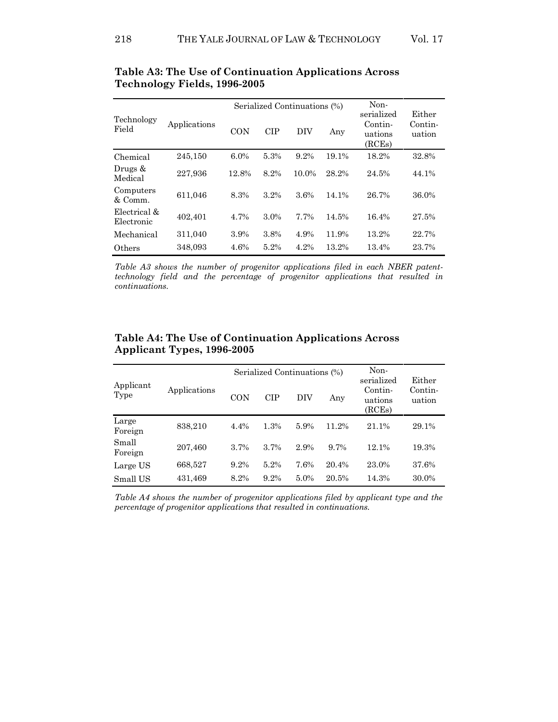|                            | Applications |       |            | Serialized Continuations (%) | Non-<br>serialized | Either                       |                   |
|----------------------------|--------------|-------|------------|------------------------------|--------------------|------------------------------|-------------------|
| Technology<br>Field        |              | CON   | <b>CIP</b> | DIV                          | Any                | Contin-<br>uations<br>(RCEs) | Contin-<br>uation |
| Chemical                   | 245,150      | 6.0%  | 5.3%       | 9.2%                         | 19.1%              | 18.2%                        | 32.8%             |
| Drugs &<br>Medical         | 227,936      | 12.8% | 8.2%       | 10.0%                        | 28.2%              | 24.5%                        | 44.1%             |
| Computers<br>& Comm.       | 611,046      | 8.3%  | 3.2%       | 3.6%                         | 14.1%              | 26.7%                        | 36.0%             |
| Electrical &<br>Electronic | 402,401      | 4.7%  | 3.0%       | 7.7%                         | 14.5%              | 16.4%                        | 27.5%             |
| Mechanical                 | 311,040      | 3.9%  | 3.8%       | 4.9%                         | 11.9%              | 13.2%                        | 22.7%             |
| Others                     | 348,093      | 4.6%  | 5.2%       | 4.2%                         | 13.2%              | 13.4%                        | 23.7%             |

**Table A3: The Use of Continuation Applications Across Technology Fields, 1996-2005**

*Table A3 shows the number of progenitor applications filed in each NBER patenttechnology field and the percentage of progenitor applications that resulted in continuations.*

|                   | Applications |      |            | Serialized Continuations (%) | Non-<br>serialized | Either                       |                   |
|-------------------|--------------|------|------------|------------------------------|--------------------|------------------------------|-------------------|
| Applicant<br>Type |              | CON  | <b>CIP</b> | DIV                          | Any                | Contin-<br>uations<br>(RCEs) | Contin-<br>uation |
| Large<br>Foreign  | 838,210      | 4.4% | 1.3%       | 5.9%                         | 11.2%              | 21.1%                        | 29.1%             |
| Small<br>Foreign  | 207,460      | 3.7% | 3.7%       | 2.9%                         | 9.7%               | 12.1%                        | 19.3%             |
| Large US          | 668,527      | 9.2% | 5.2%       | 7.6%                         | 20.4%              | 23.0%                        | 37.6%             |
| Small US          | 431,469      | 8.2% | 9.2%       | $5.0\%$                      | 20.5%              | 14.3%                        | 30.0%             |

## **Table A4: The Use of Continuation Applications Across Applicant Types, 1996-2005**

*Table A4 shows the number of progenitor applications filed by applicant type and the percentage of progenitor applications that resulted in continuations.*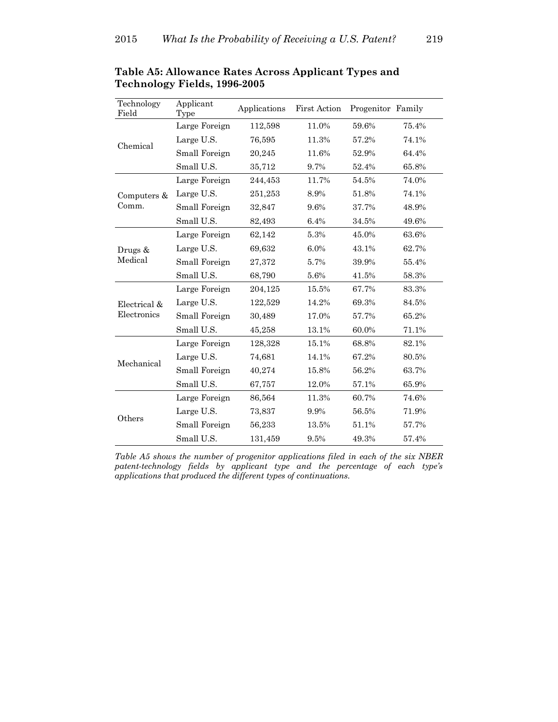| Technology<br>Field | Applicant<br>Type | Applications | <b>First Action</b> | Progenitor Family |       |
|---------------------|-------------------|--------------|---------------------|-------------------|-------|
|                     | Large Foreign     | 112,598      | 11.0%               | 59.6%             | 75.4% |
| Chemical            | Large U.S.        | 76,595       | 11.3%               | 57.2%             | 74.1% |
|                     | Small Foreign     | 20,245       | 11.6%               | 52.9%             | 64.4% |
|                     | Small U.S.        | 35,712       | 9.7%                | 52.4%             | 65.8% |
|                     | Large Foreign     | 244,453      | 11.7%               | 54.5%             | 74.0% |
| Computers $\&$      | Large U.S.        | 251,253      | 8.9%                | 51.8%             | 74.1% |
| Comm.               | Small Foreign     | 32,847       | 9.6%                | 37.7%             | 48.9% |
|                     | Small U.S.        | 82,493       | 6.4%                | 34.5%             | 49.6% |
|                     | Large Foreign     | 62,142       | 5.3%                | 45.0%             | 63.6% |
| Drugs &             | Large U.S.        | 69,632       | 6.0%                | 43.1%             | 62.7% |
| Medical             | Small Foreign     | 27,372       | 5.7%                | 39.9%             | 55.4% |
|                     | Small U.S.        | 68,790       | 5.6%                | 41.5%             | 58.3% |
|                     | Large Foreign     | 204,125      | 15.5%               | 67.7%             | 83.3% |
| Electrical &        | Large U.S.        | 122,529      | 14.2%               | 69.3%             | 84.5% |
| Electronics         | Small Foreign     | 30,489       | 17.0%               | 57.7%             | 65.2% |
|                     | Small U.S.        | 45,258       | 13.1%               | 60.0%             | 71.1% |
|                     | Large Foreign     | 128,328      | 15.1%               | 68.8%             | 82.1% |
| Mechanical          | Large U.S.        | 74,681       | 14.1%               | 67.2%             | 80.5% |
|                     | Small Foreign     | 40,274       | 15.8%               | 56.2%             | 63.7% |
|                     | Small U.S.        | 67,757       | 12.0%               | 57.1%             | 65.9% |
|                     | Large Foreign     | 86,564       | 11.3%               | 60.7%             | 74.6% |
|                     | Large U.S.        | 73,837       | 9.9%                | 56.5%             | 71.9% |
| Others              | Small Foreign     | 56,233       | 13.5%               | 51.1%             | 57.7% |
|                     | Small U.S.        | 131,459      | 9.5%                | 49.3%             | 57.4% |

**Table A5: Allowance Rates Across Applicant Types and Technology Fields, 1996-2005**

*Table A5 shows the number of progenitor applications filed in each of the six NBER patent-technology fields by applicant type and the percentage of each type's applications that produced the different types of continuations.*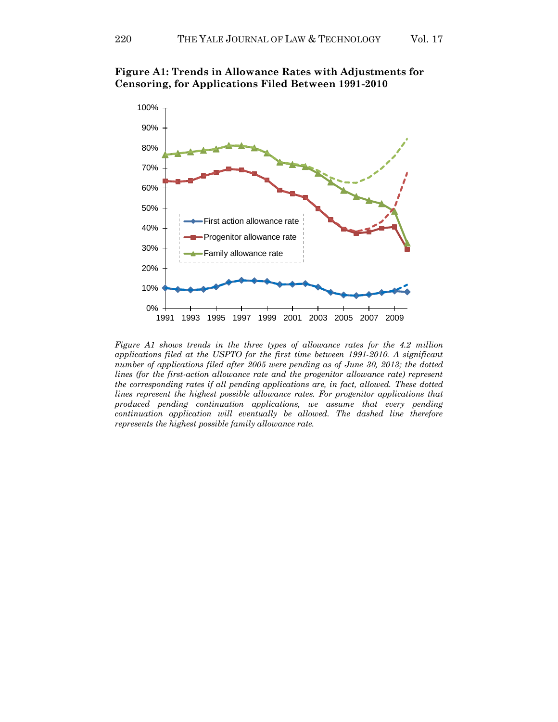

**Figure A1: Trends in Allowance Rates with Adjustments for Censoring, for Applications Filed Between 1991-2010**

*Figure A1 shows trends in the three types of allowance rates for the 4.2 million applications filed at the USPTO for the first time between 1991-2010. A significant number of applications filed after 2005 were pending as of June 30, 2013; the dotted lines (for the first-action allowance rate and the progenitor allowance rate) represent the corresponding rates if all pending applications are, in fact, allowed. These dotted lines represent the highest possible allowance rates. For progenitor applications that produced pending continuation applications, we assume that every pending continuation application will eventually be allowed. The dashed line therefore represents the highest possible family allowance rate.*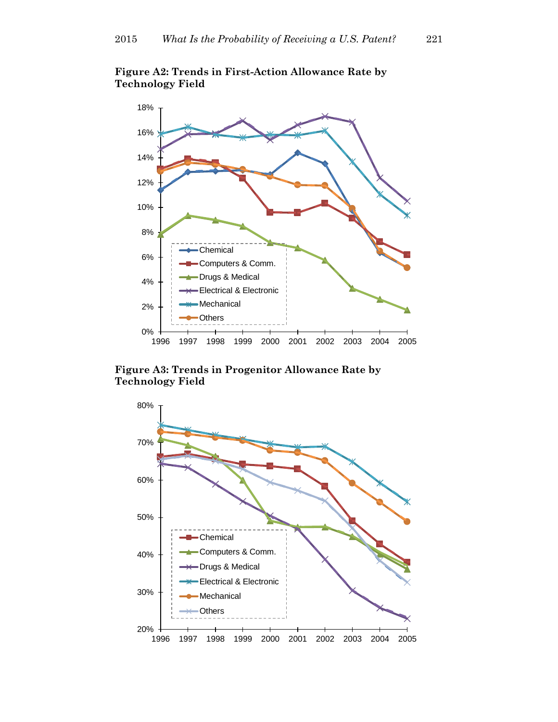

**Figure A2: Trends in First-Action Allowance Rate by Technology Field**

**Figure A3: Trends in Progenitor Allowance Rate by Technology Field**

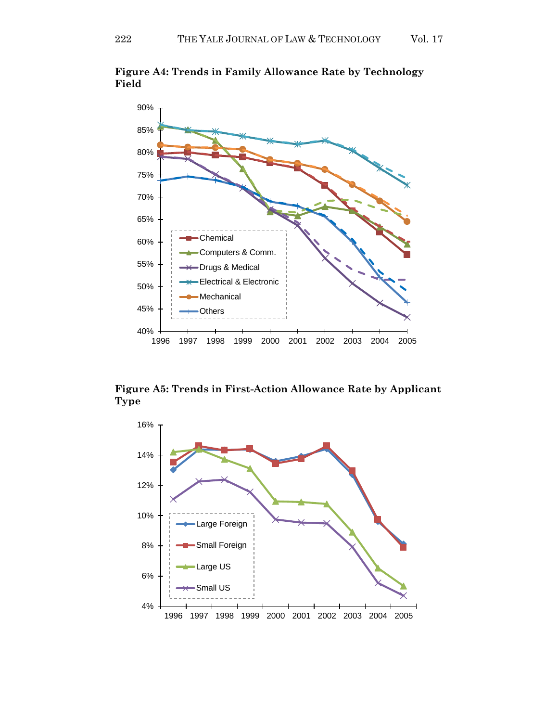

**Figure A4: Trends in Family Allowance Rate by Technology Field**

**Figure A5: Trends in First-Action Allowance Rate by Applicant Type**